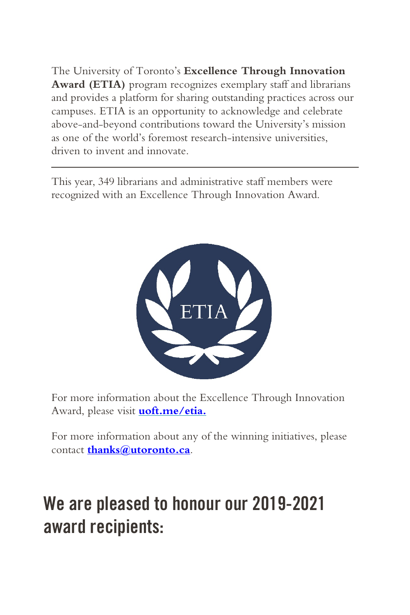The University of Toronto's **Excellence Through Innovation Award (ETIA)** program recognizes exemplary staff and librarians and provides a platform for sharing outstanding practices across our campuses. ETIA is an opportunity to acknowledge and celebrate above-and-beyond contributions toward the University's mission as one of the world's foremost research-intensive universities, driven to invent and innovate.

This year, 349 librarians and administrative staff members were recognized with an Excellence Through Innovation Award.



For more information about the Excellence Through Innovation Award, please visit **[uoft.me/etia.](http://www.uoft.me/etia)**

For more information about any of the winning initiatives, please contact **[thanks@utoronto.ca](mailto:thanks@utoronto.ca)**.

## We are pleased to honour our 2019-2021 award recipients: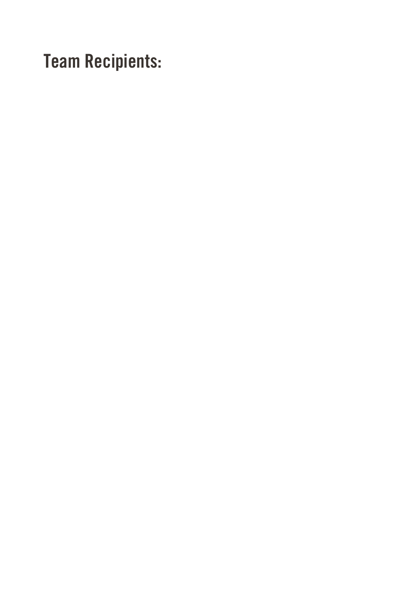Team Recipients: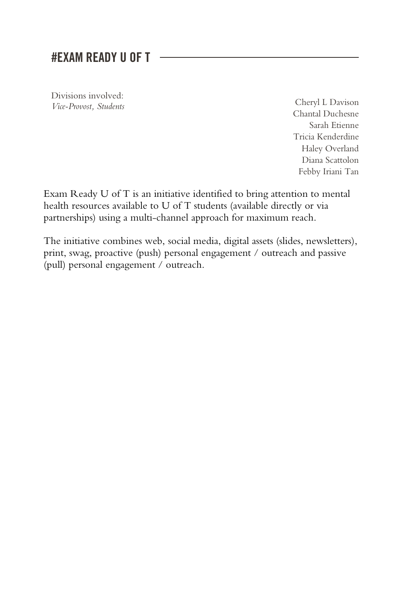#### #EXAM READY U OF T

Divisions involved: *Vice-Provost, Students* Cheryl L Davison

Chantal Duchesne Sarah Etienne Tricia Kenderdine Haley Overland Diana Scattolon Febby Iriani Tan

Exam Ready U of T is an initiative identified to bring attention to mental health resources available to U of T students (available directly or via partnerships) using a multi-channel approach for maximum reach.

The initiative combines web, social media, digital assets (slides, newsletters), print, swag, proactive (push) personal engagement / outreach and passive (pull) personal engagement / outreach.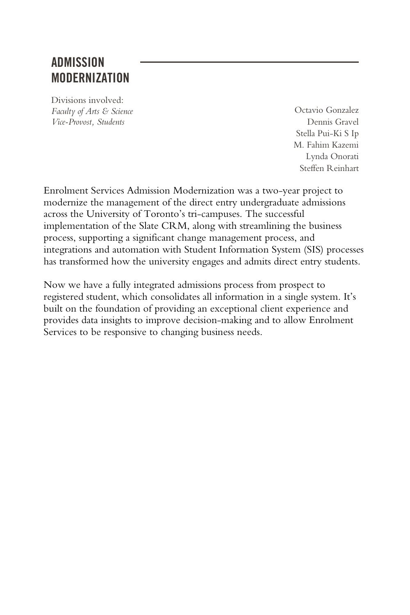## **ADMISSION** MODERNIZATION

Divisions involved: *Faculty of Arts & Science Vice-Provost, Students*

Octavio Gonzalez Dennis Gravel Stella Pui-Ki S Ip M. Fahim Kazemi Lynda Onorati Steffen Reinhart

Enrolment Services Admission Modernization was a two-year project to modernize the management of the direct entry undergraduate admissions across the University of Toronto's tri-campuses. The successful implementation of the Slate CRM, along with streamlining the business process, supporting a significant change management process, and integrations and automation with Student Information System (SIS) processes has transformed how the university engages and admits direct entry students.

Now we have a fully integrated admissions process from prospect to registered student, which consolidates all information in a single system. It's built on the foundation of providing an exceptional client experience and provides data insights to improve decision-making and to allow Enrolment Services to be responsive to changing business needs.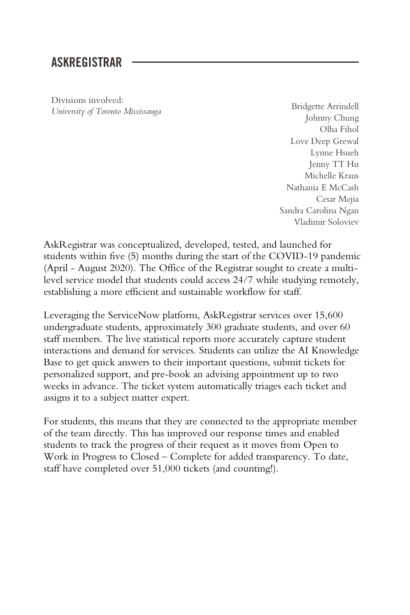#### ASKREGISTRAR

Divisions involved: *University of Toronto Mississauga* Bridgette Arrindell

Johnny Chung Olha Fihol Love Deep Grewal Lynne Hsueh Jenny TT Hu Michelle Kraus Nathania E McCash Cesar Mejia Sandra Carolina Ngan Vladimir Soloviev

AskRegistrar was conceptualized, developed, tested, and launched for students within five (5) months during the start of the COVID-19 pandemic (April - August 2020). The Office of the Registrar sought to create a multilevel service model that students could access 24/7 while studying remotely, establishing a more efficient and sustainable workflow for staff.

Leveraging the ServiceNow platform, AskRegistrar services over 15,600 undergraduate students, approximately 300 graduate students, and over 60 staff members. The live statistical reports more accurately capture student interactions and demand for services. Students can utilize the AI Knowledge Base to get quick answers to their important questions, submit tickets for personalized support, and pre-book an advising appointment up to two weeks in advance. The ticket system automatically triages each ticket and assigns it to a subject matter expert.

For students, this means that they are connected to the appropriate member of the team directly. This has improved our response times and enabled students to track the progress of their request as it moves from Open to Work in Progress to Closed – Complete for added transparency. To date, staff have completed over 51,000 tickets (and counting!).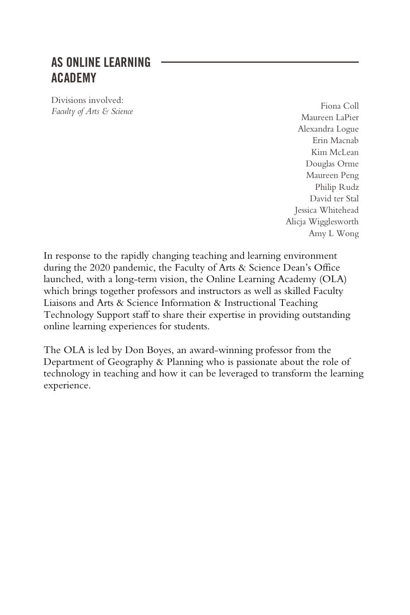#### AS ONLINE LEARNING ACADEMY

Divisions involved: *Faculty of Arts & Science* Fiona Coll **Faculty** of Arts & Science **Fiona** Coll **Faculty** of Arts & Science **Figure** 

Maureen LaPier Alexandra Logue Erin Macnab Kim McLean Douglas Orme Maureen Peng Philip Rudz David ter Stal Jessica Whitehead Alicja Wigglesworth Amy L Wong

In response to the rapidly changing teaching and learning environment during the 2020 pandemic, the Faculty of Arts & Science Dean's Office launched, with a long-term vision, the Online Learning Academy (OLA) which brings together professors and instructors as well as skilled Faculty Liaisons and Arts & Science Information & Instructional Teaching Technology Support staff to share their expertise in providing outstanding online learning experiences for students.

The OLA is led by Don Boyes, an award-winning professor from the Department of Geography & Planning who is passionate about the role of technology in teaching and how it can be leveraged to transform the learning experience.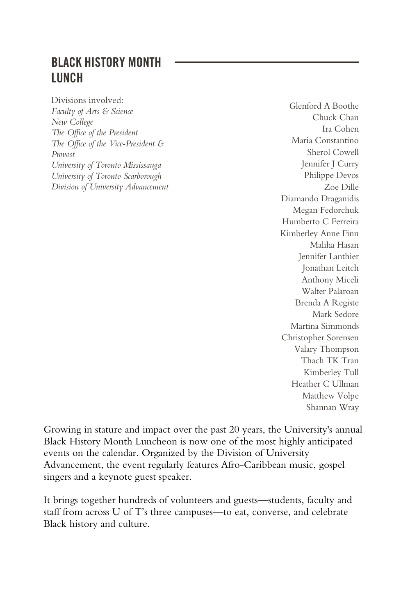## BLACK HISTORY MONTH LUNCH

Divisions involved: *Faculty of Arts & Science New College The Office of the President The Office of the Vice-President & Provost University of Toronto Mississauga University of Toronto Scarborough Division of University Advancement*

Glenford A Boothe Chuck Chan Ira Cohen Maria Constantino Sherol Cowell Jennifer J Curry Philippe Devos Zoe Dille Diamando Draganidis Megan Fedorchuk Humberto C Ferreira Kimberley Anne Finn Maliha Hasan Jennifer Lanthier Jonathan Leitch Anthony Miceli Walter Palaroan Brenda A Registe Mark Sedore Martina Simmonds Christopher Sorensen Valary Thompson Thach TK Tran Kimberley Tull Heather C Ullman Matthew Volpe Shannan Wray

Growing in stature and impact over the past 20 years, the University's annual Black History Month Luncheon is now one of the most highly anticipated events on the calendar. Organized by the Division of University Advancement, the event regularly features Afro-Caribbean music, gospel singers and a keynote guest speaker.

It brings together hundreds of volunteers and guests—students, faculty and staff from across U of T's three campuses—to eat, converse, and celebrate Black history and culture.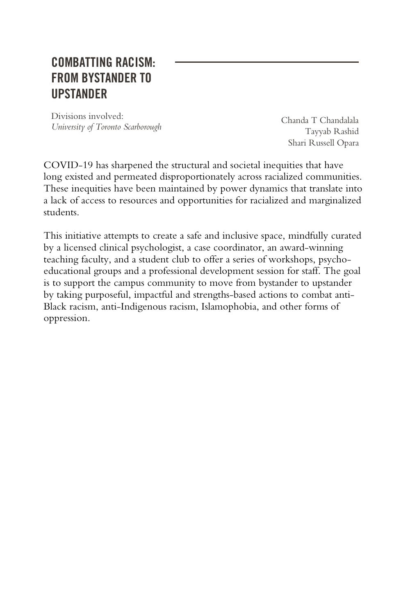#### COMBATTING RACISM: FROM BYSTANDER TO UPSTANDER

Divisions involved: *University of Toronto Scarborough*

Chanda T Chandalala Tayyab Rashid Shari Russell Opara

COVID-19 has sharpened the structural and societal inequities that have long existed and permeated disproportionately across racialized communities. These inequities have been maintained by power dynamics that translate into a lack of access to resources and opportunities for racialized and marginalized students.

This initiative attempts to create a safe and inclusive space, mindfully curated by a licensed clinical psychologist, a case coordinator, an award-winning teaching faculty, and a student club to offer a series of workshops, psychoeducational groups and a professional development session for staff. The goal is to support the campus community to move from bystander to upstander by taking purposeful, impactful and strengths-based actions to combat anti-Black racism, anti-Indigenous racism, Islamophobia, and other forms of oppression.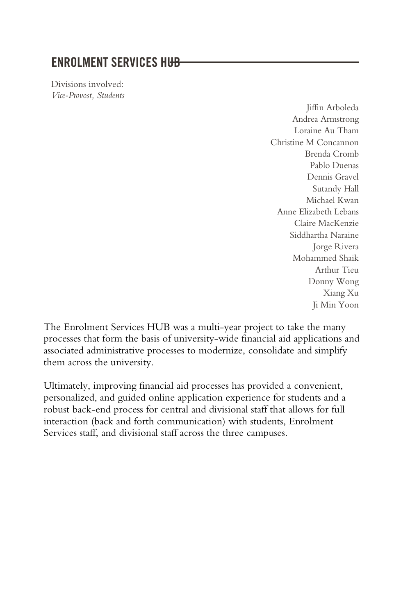#### **ENROLMENT SERVICES HI<del>JR</del>**

Divisions involved: *Vice-Provost, Students*

> Jiffin Arboleda Andrea Armstrong Loraine Au Tham Christine M Concannon Brenda Cromb Pablo Duenas Dennis Gravel Sutandy Hall Michael Kwan Anne Elizabeth Lebans Claire MacKenzie Siddhartha Naraine Jorge Rivera Mohammed Shaik Arthur Tieu Donny Wong Xiang Xu Ji Min Yoon

The Enrolment Services HUB was a multi-year project to take the many processes that form the basis of university-wide financial aid applications and associated administrative processes to modernize, consolidate and simplify them across the university.

Ultimately, improving financial aid processes has provided a convenient, personalized, and guided online application experience for students and a robust back-end process for central and divisional staff that allows for full interaction (back and forth communication) with students, Enrolment Services staff, and divisional staff across the three campuses.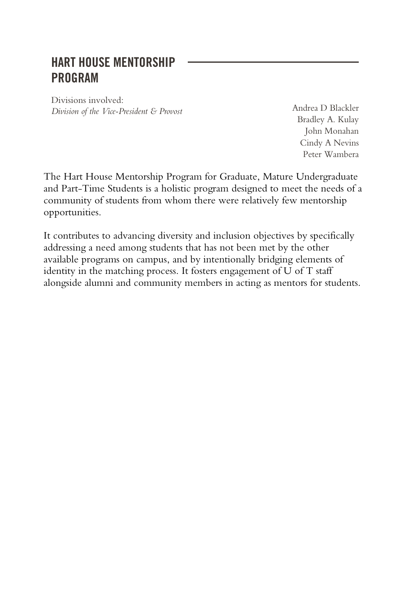#### HART HOUSE MENTORSHIP PROGRAM

Divisions involved: *Division of the Vice-President & Provost* Andrea D Blackler

Bradley A. Kulay John Monahan Cindy A Nevins Peter Wambera

The Hart House Mentorship Program for Graduate, Mature Undergraduate and Part-Time Students is a holistic program designed to meet the needs of a community of students from whom there were relatively few mentorship opportunities.

It contributes to advancing diversity and inclusion objectives by specifically addressing a need among students that has not been met by the other available programs on campus, and by intentionally bridging elements of identity in the matching process. It fosters engagement of U of T staff alongside alumni and community members in acting as mentors for students.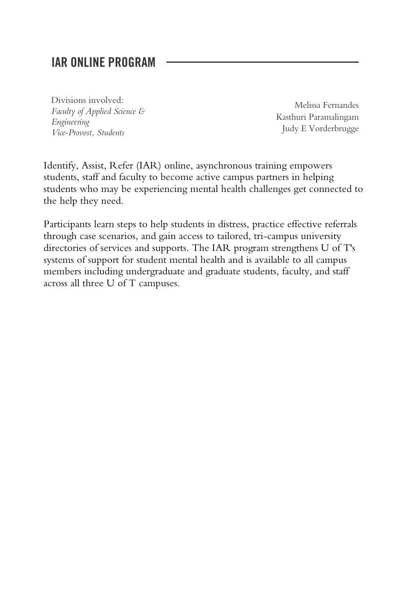#### IAR ONLINE PROGRAM

Divisions involved: *Faculty of Applied Science & Engineering Vice-Provost, Students*

Melissa Fernandes Kasthuri Paramalingam Judy E Vorderbrugge

Identify, Assist, Refer (IAR) online, asynchronous training empowers students, staff and faculty to become active campus partners in helping students who may be experiencing mental health challenges get connected to the help they need.

Participants learn steps to help students in distress, practice effective referrals through case scenarios, and gain access to tailored, tri-campus university directories of services and supports. The IAR program strengthens U of T's systems of support for student mental health and is available to all campus members including undergraduate and graduate students, faculty, and staff across all three U of T campuses.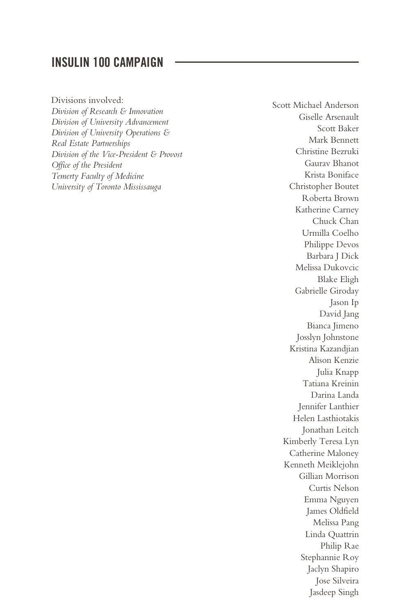#### INSULIN 100 CAMPAIGN

Divisions involved: *Division of Research & Innovation Division of University Advancement Division of University Operations & Real Estate Partnerships Division of the Vice-President & Provost Office of the President Temerty Faculty of Medicine University of Toronto Mississauga*

Scott Michael Anderson Giselle Arsenault Scott Baker Mark Bennett Christine Bezruki Gaurav Bhanot Krista Boniface Christopher Boutet Roberta Brown Katherine Carney Chuck Chan Urmilla Coelho Philippe Devos Barbara J Dick Melissa Dukovcic Blake Eligh Gabrielle Giroday Jason Ip David Jang Bianca Jimeno Josslyn Johnstone Kristina Kazandjian Alison Kenzie Julia Knapp Tatiana Kreinin Darina Landa Jennifer Lanthier Helen Lasthiotakis Jonathan Leitch Kimberly Teresa Lyn Catherine Maloney Kenneth Meiklejohn Gillian Morrison Curtis Nelson Emma Nguyen James Oldfield Melissa Pang Linda Quattrin Philip Rae Stephannie Roy Jaclyn Shapiro Jose Silveira Jasdeep Singh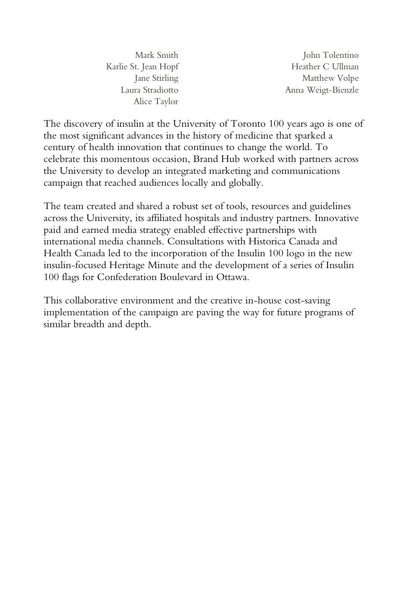Mark Smith Karlie St. Jean Hopf Jane Stirling Laura Stradiotto Alice Taylor

John Tolentino Heather C Ullman Matthew Volpe Anna Weigt-Bienzle

The discovery of insulin at the University of Toronto 100 years ago is one of the most significant advances in the history of medicine that sparked a century of health innovation that continues to change the world. To celebrate this momentous occasion, Brand Hub worked with partners across the University to develop an integrated marketing and communications campaign that reached audiences locally and globally.

The team created and shared a robust set of tools, resources and guidelines across the University, its affiliated hospitals and industry partners. Innovative paid and earned media strategy enabled effective partnerships with international media channels. Consultations with Historica Canada and Health Canada led to the incorporation of the Insulin 100 logo in the new insulin-focused Heritage Minute and the development of a series of Insulin 100 flags for Confederation Boulevard in Ottawa.

This collaborative environment and the creative in-house cost-saving implementation of the campaign are paving the way for future programs of similar breadth and depth.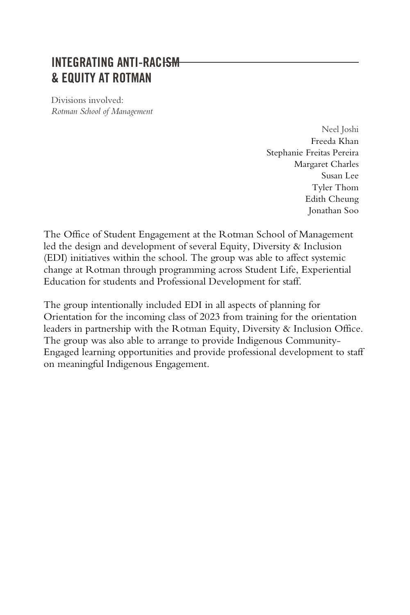#### INTEGRATING ANTI-RACISM & EQUITY AT ROTMAN

Divisions involved: *Rotman School of Management*

> Neel Joshi Freeda Khan Stephanie Freitas Pereira Margaret Charles Susan Lee Tyler Thom Edith Cheung Jonathan Soo

The Office of Student Engagement at the Rotman School of Management led the design and development of several Equity, Diversity & Inclusion (EDI) initiatives within the school. The group was able to affect systemic change at Rotman through programming across Student Life, Experiential Education for students and Professional Development for staff.

The group intentionally included EDI in all aspects of planning for Orientation for the incoming class of 2023 from training for the orientation leaders in partnership with the Rotman Equity, Diversity & Inclusion Office. The group was also able to arrange to provide Indigenous Community-Engaged learning opportunities and provide professional development to staff on meaningful Indigenous Engagement.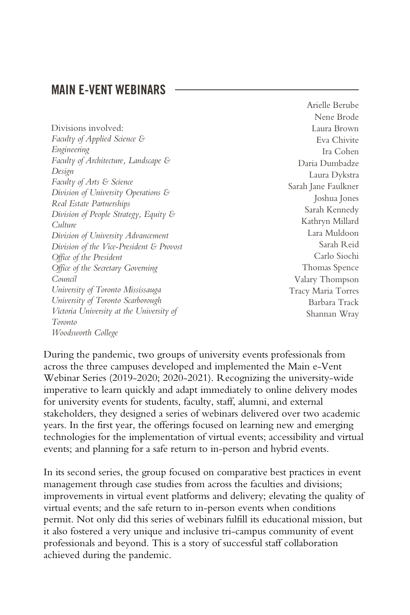#### MAIN E-VENT WEBINARS

Divisions involved: *Faculty of Applied Science & Engineering Faculty of Architecture, Landscape & Design Faculty of Arts & Science Division of University Operations & Real Estate Partnerships Division of People Strategy, Equity & Culture Division of University Advancement Division of the Vice-President & Provost Office of the President Office of the Secretary Governing Council University of Toronto Mississauga University of Toronto Scarborough Victoria University at the University of Toronto Woodsworth College*

Arielle Berube Nene Brode Laura Brown Eva Chivite Ira Cohen Daria Dumbadze Laura Dykstra Sarah Jane Faulkner Joshua Jones Sarah Kennedy Kathryn Millard Lara Muldoon Sarah Reid Carlo Siochi Thomas Spence Valary Thompson Tracy Maria Torres Barbara Track Shannan Wray

During the pandemic, two groups of university events professionals from across the three campuses developed and implemented the Main e-Vent Webinar Series (2019-2020; 2020-2021). Recognizing the university-wide imperative to learn quickly and adapt immediately to online delivery modes for university events for students, faculty, staff, alumni, and external stakeholders, they designed a series of webinars delivered over two academic years. In the first year, the offerings focused on learning new and emerging technologies for the implementation of virtual events; accessibility and virtual events; and planning for a safe return to in-person and hybrid events.

In its second series, the group focused on comparative best practices in event management through case studies from across the faculties and divisions; improvements in virtual event platforms and delivery; elevating the quality of virtual events; and the safe return to in-person events when conditions permit. Not only did this series of webinars fulfill its educational mission, but it also fostered a very unique and inclusive tri-campus community of event professionals and beyond. This is a story of successful staff collaboration achieved during the pandemic.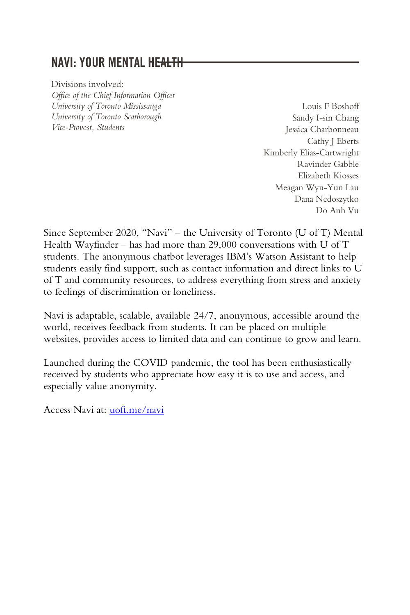#### NAVI: YOUR MENTAL HEALTH

Divisions involved: *Office of the Chief Information Officer University of Toronto Mississauga University of Toronto Scarborough Vice-Provost, Students*

Louis F Boshoff Sandy I-sin Chang Jessica Charbonneau Cathy J Eberts Kimberly Elias-Cartwright Ravinder Gabble Elizabeth Kiosses Meagan Wyn-Yun Lau Dana Nedoszytko Do Anh Vu

Since September 2020, "Navi" – the University of Toronto (U of T) Mental Health Wayfinder – has had more than  $29,000$  conversations with U of T students. The anonymous chatbot leverages IBM's Watson Assistant to help students easily find support, such as contact information and direct links to U of T and community resources, to address everything from stress and anxiety to feelings of discrimination or loneliness.

Navi is adaptable, scalable, available 24/7, anonymous, accessible around the world, receives feedback from students. It can be placed on multiple websites, provides access to limited data and can continue to grow and learn.

Launched during the COVID pandemic, the tool has been enthusiastically received by students who appreciate how easy it is to use and access, and especially value anonymity.

Access Navi at: [uoft.me/navi](https://uoft.me/navi)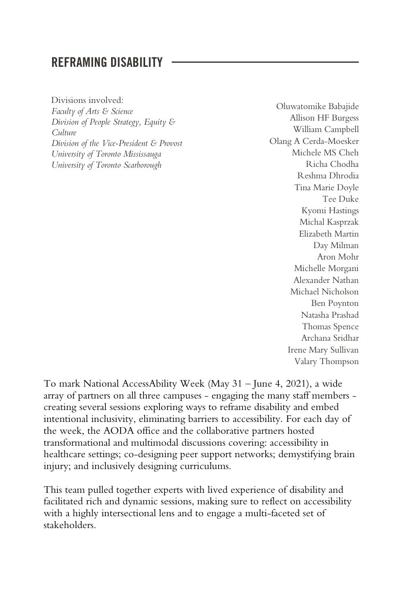#### REFRAMING DISABILITY

Divisions involved: *Faculty of Arts & Science Division of People Strategy, Equity & Culture Division of the Vice-President & Provost University of Toronto Mississauga University of Toronto Scarborough*

Oluwatomike Babajide Allison HF Burgess William Campbell Olang A Cerda-Moesker Michele MS Cheh Richa Chodha Reshma Dhrodia Tina Marie Doyle Tee Duke Kyomi Hastings Michal Kasprzak Elizabeth Martin Day Milman Aron Mohr Michelle Morgani Alexander Nathan Michael Nicholson Ben Poynton Natasha Prashad Thomas Spence Archana Sridhar Irene Mary Sullivan Valary Thompson

To mark National AccessAbility Week (May 31 – June 4, 2021), a wide array of partners on all three campuses - engaging the many staff members creating several sessions exploring ways to reframe disability and embed intentional inclusivity, eliminating barriers to accessibility. For each day of the week, the AODA office and the collaborative partners hosted transformational and multimodal discussions covering: accessibility in healthcare settings; co-designing peer support networks; demystifying brain injury; and inclusively designing curriculums.

This team pulled together experts with lived experience of disability and facilitated rich and dynamic sessions, making sure to reflect on accessibility with a highly intersectional lens and to engage a multi-faceted set of stakeholders.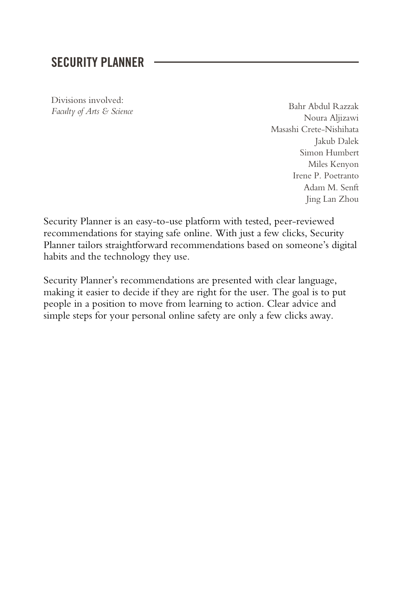#### SECURITY PLANNER

Divisions involved:

*Faculty of Arts & Science* Bahr Abdul Razzak Noura Aljizawi Masashi Crete-Nishihata Jakub Dalek Simon Humbert Miles Kenyon Irene P. Poetranto Adam M. Senft Jing Lan Zhou

Security Planner is an easy-to-use platform with tested, peer-reviewed recommendations for staying safe online. With just a few clicks, Security Planner tailors straightforward recommendations based on someone's digital habits and the technology they use.

Security Planner's recommendations are presented with clear language, making it easier to decide if they are right for the user. The goal is to put people in a position to move from learning to action. Clear advice and simple steps for your personal online safety are only a few clicks away.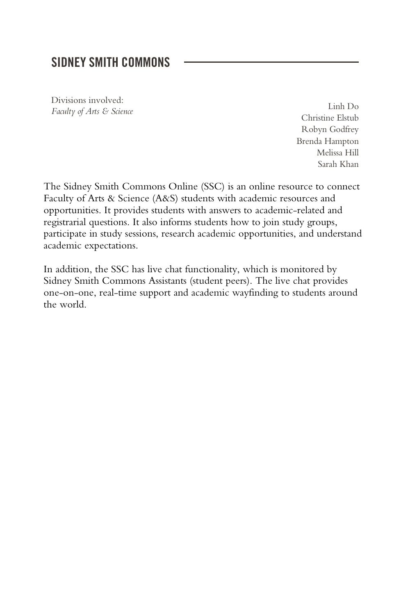#### SIDNEY SMITH COMMONS

Divisions involved: *Faculty of Arts & Science* Linh Do

Christine Elstub Robyn Godfrey Brenda Hampton Melissa Hill Sarah Khan

The Sidney Smith Commons Online (SSC) is an online resource to connect Faculty of Arts & Science (A&S) students with academic resources and opportunities. It provides students with answers to academic-related and registrarial questions. It also informs students how to join study groups, participate in study sessions, research academic opportunities, and understand academic expectations.

In addition, the SSC has live chat functionality, which is monitored by Sidney Smith Commons Assistants (student peers). The live chat provides one-on-one, real-time support and academic wayfinding to students around the world.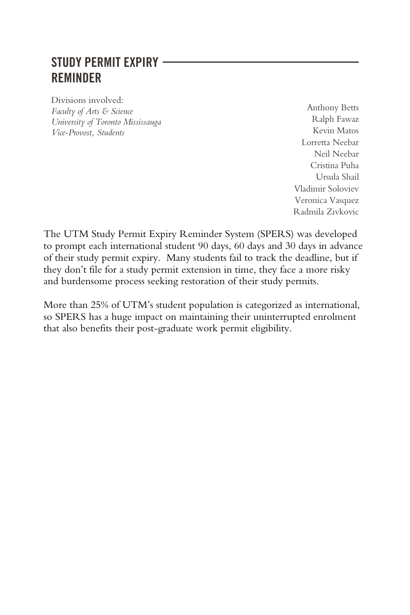## STUDY PERMIT EXPIRY REMINDER

Divisions involved: *Faculty of Arts & Science University of Toronto Mississauga Vice-Provost, Students*

Anthony Betts Ralph Fawaz Kevin Matos Lorretta Neebar Neil Neebar Cristina Puha Ursula Shail Vladimir Soloviev Veronica Vasquez Radmila Zivkovic

The UTM Study Permit Expiry Reminder System (SPERS) was developed to prompt each international student 90 days, 60 days and 30 days in advance of their study permit expiry. Many students fail to track the deadline, but if they don't file for a study permit extension in time, they face a more risky and burdensome process seeking restoration of their study permits.

More than 25% of UTM's student population is categorized as international, so SPERS has a huge impact on maintaining their uninterrupted enrolment that also benefits their post-graduate work permit eligibility.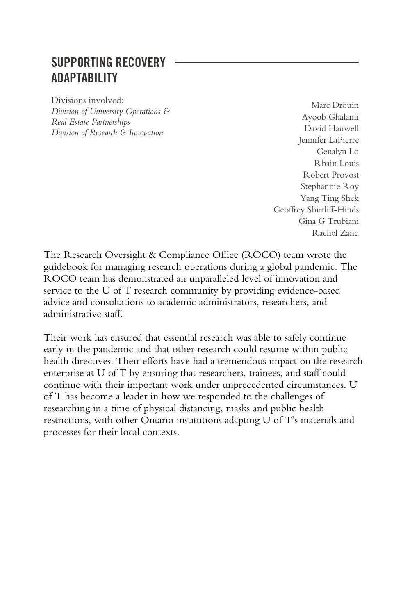#### SUPPORTING RECOVERY ADAPTABILITY

Divisions involved: *Division of University Operations & Real Estate Partnerships Division of Research & Innovation*

Marc Drouin Ayoob Ghalami David Hanwell Jennifer LaPierre Genalyn Lo Rhain Louis Robert Provost Stephannie Roy Yang Ting Shek Geoffrey Shirtliff-Hinds Gina G Trubiani Rachel Zand

The Research Oversight & Compliance Office (ROCO) team wrote the guidebook for managing research operations during a global pandemic. The ROCO team has demonstrated an unparalleled level of innovation and service to the U of T research community by providing evidence-based advice and consultations to academic administrators, researchers, and administrative staff.

Their work has ensured that essential research was able to safely continue early in the pandemic and that other research could resume within public health directives. Their efforts have had a tremendous impact on the research enterprise at U of T by ensuring that researchers, trainees, and staff could continue with their important work under unprecedented circumstances. U of T has become a leader in how we responded to the challenges of researching in a time of physical distancing, masks and public health restrictions, with other Ontario institutions adapting U of T's materials and processes for their local contexts.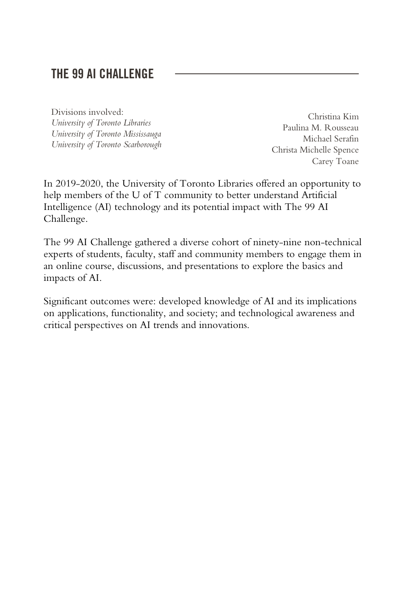#### THE 99 AI CHALLENGE

Divisions involved: *University of Toronto Libraries University of Toronto Mississauga University of Toronto Scarborough*

Christina Kim Paulina M. Rousseau Michael Serafin Christa Michelle Spence Carey Toane

In 2019-2020, the University of Toronto Libraries offered an opportunity to help members of the U of T community to better understand Artificial Intelligence (AI) technology and its potential impact with The 99 AI Challenge.

The 99 AI Challenge gathered a diverse cohort of ninety-nine non-technical experts of students, faculty, staff and community members to engage them in an online course, discussions, and presentations to explore the basics and impacts of AI.

Significant outcomes were: developed knowledge of AI and its implications on applications, functionality, and society; and technological awareness and critical perspectives on AI trends and innovations.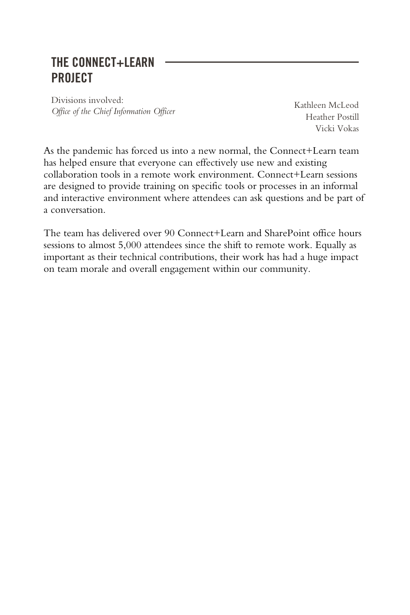#### THE CONNECT+LEARN **PROJECT**

Divisions involved: *Office of the Chief Information Officer* Kathleen McLeod

Heather Postill Vicki Vokas

As the pandemic has forced us into a new normal, the Connect+Learn team has helped ensure that everyone can effectively use new and existing collaboration tools in a remote work environment. Connect+Learn sessions are designed to provide training on specific tools or processes in an informal and interactive environment where attendees can ask questions and be part of a conversation.

The team has delivered over 90 Connect+Learn and SharePoint office hours sessions to almost 5,000 attendees since the shift to remote work. Equally as important as their technical contributions, their work has had a huge impact on team morale and overall engagement within our community.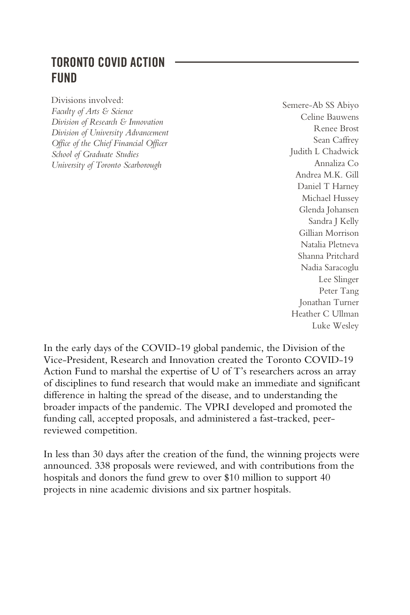#### TORONTO COVID ACTION **FIIND**

Divisions involved: *Faculty of Arts & Science Division of Research & Innovation Division of University Advancement Office of the Chief Financial Officer School of Graduate Studies University of Toronto Scarborough*

Semere-Ab SS Abiyo Celine Bauwens Renee Brost Sean Caffrey Judith L Chadwick Annaliza Co Andrea M.K. Gill Daniel T Harney Michael Hussey Glenda Johansen Sandra J Kelly Gillian Morrison Natalia Pletneva Shanna Pritchard Nadia Saracoglu Lee Slinger Peter Tang Jonathan Turner Heather C Ullman Luke Wesley

In the early days of the COVID-19 global pandemic, the Division of the Vice-President, Research and Innovation created the Toronto COVID-19 Action Fund to marshal the expertise of U of T's researchers across an array of disciplines to fund research that would make an immediate and significant difference in halting the spread of the disease, and to understanding the broader impacts of the pandemic. The VPRI developed and promoted the funding call, accepted proposals, and administered a fast-tracked, peerreviewed competition.

In less than 30 days after the creation of the fund, the winning projects were announced. 338 proposals were reviewed, and with contributions from the hospitals and donors the fund grew to over \$10 million to support 40 projects in nine academic divisions and six partner hospitals.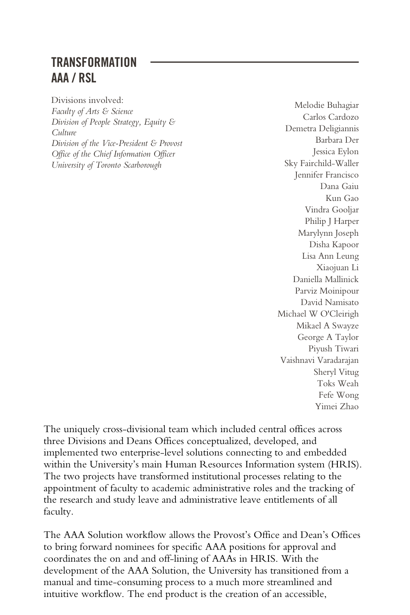#### TRANSFORMATION AAA / RSL

Divisions involved: *Faculty of Arts & Science Division of People Strategy, Equity & Culture Division of the Vice-President & Provost Office of the Chief Information Officer University of Toronto Scarborough*

Melodie Buhagiar Carlos Cardozo Demetra Deligiannis Barbara Der Jessica Eylon Sky Fairchild-Waller Jennifer Francisco Dana Gaiu Kun Gao Vindra Gooljar Philip J Harper Marylynn Joseph Disha Kapoor Lisa Ann Leung Xiaojuan Li Daniella Mallinick Parviz Moinipour David Namisato Michael W O'Cleirigh Mikael A Swayze George A Taylor Piyush Tiwari Vaishnavi Varadarajan Sheryl Vitug Toks Weah Fefe Wong Yimei Zhao

The uniquely cross-divisional team which included central offices across three Divisions and Deans Offices conceptualized, developed, and implemented two enterprise-level solutions connecting to and embedded within the University's main Human Resources Information system (HRIS). The two projects have transformed institutional processes relating to the appointment of faculty to academic administrative roles and the tracking of the research and study leave and administrative leave entitlements of all faculty.

The AAA Solution workflow allows the Provost's Office and Dean's Offices to bring forward nominees for specific AAA positions for approval and coordinates the on and and off-lining of AAAs in HRIS. With the development of the AAA Solution, the University has transitioned from a manual and time-consuming process to a much more streamlined and intuitive workflow. The end product is the creation of an accessible,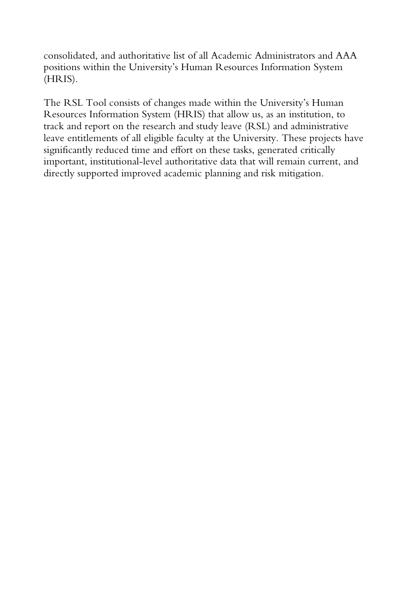consolidated, and authoritative list of all Academic Administrators and AAA positions within the University's Human Resources Information System (HRIS).

The RSL Tool consists of changes made within the University's Human Resources Information System (HRIS) that allow us, as an institution, to track and report on the research and study leave (RSL) and administrative leave entitlements of all eligible faculty at the University. These projects have significantly reduced time and effort on these tasks, generated critically important, institutional-level authoritative data that will remain current, and directly supported improved academic planning and risk mitigation.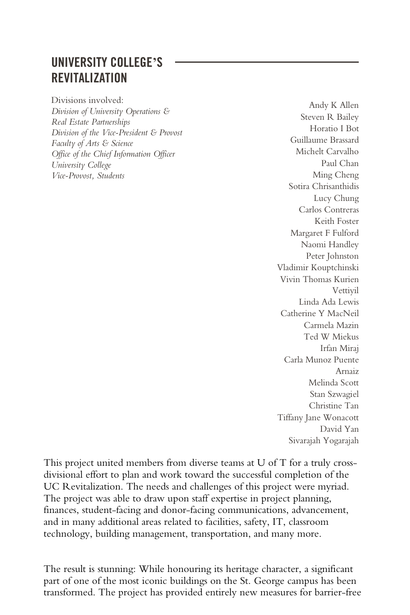## UNIVERSITY COLLEGE**'**S REVITALIZATION

Divisions involved: *Division of University Operations & Real Estate Partnerships Division of the Vice-President & Provost Faculty of Arts & Science Office of the Chief Information Officer University College Vice-Provost, Students*

Andy K Allen Steven R Bailey Horatio I Bot Guillaume Brassard Michelt Carvalho Paul Chan Ming Cheng Sotira Chrisanthidis Lucy Chung Carlos Contreras Keith Foster Margaret F Fulford Naomi Handley Peter Johnston Vladimir Kouptchinski Vivin Thomas Kurien Vettiyil Linda Ada Lewis Catherine Y MacNeil Carmela Mazin Ted W Miekus Irfan Miraj Carla Munoz Puente Arnaiz Melinda Scott Stan Szwagiel Christine Tan Tiffany Jane Wonacott David Yan Sivarajah Yogarajah

This project united members from diverse teams at U of T for a truly crossdivisional effort to plan and work toward the successful completion of the UC Revitalization. The needs and challenges of this project were myriad. The project was able to draw upon staff expertise in project planning, finances, student-facing and donor-facing communications, advancement, and in many additional areas related to facilities, safety, IT, classroom technology, building management, transportation, and many more.

The result is stunning: While honouring its heritage character, a significant part of one of the most iconic buildings on the St. George campus has been transformed. The project has provided entirely new measures for barrier-free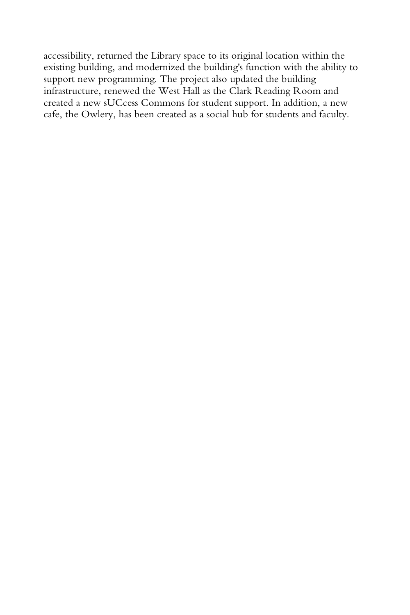accessibility, returned the Library space to its original location within the existing building, and modernized the building's function with the ability to support new programming. The project also updated the building infrastructure, renewed the West Hall as the Clark Reading Room and created a new sUCcess Commons for student support. In addition, a new cafe, the Owlery, has been created as a social hub for students and faculty.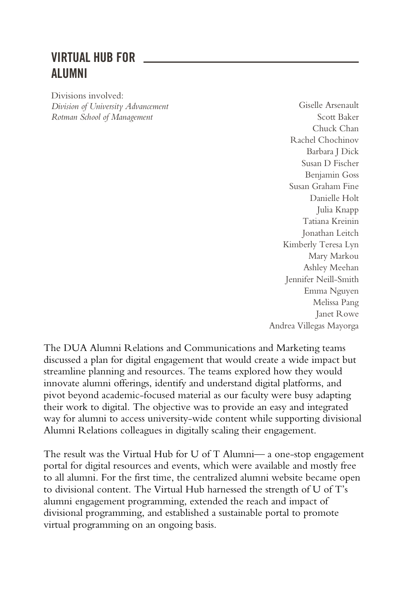## VIRTUAL HUB FOR ALUMNI

Divisions involved: *Division of University Advancement Rotman School of Management*

Giselle Arsenault Scott Baker Chuck Chan Rachel Chochinov Barbara J Dick Susan D Fischer Benjamin Goss Susan Graham Fine Danielle Holt Julia Knapp Tatiana Kreinin Jonathan Leitch Kimberly Teresa Lyn Mary Markou Ashley Meehan Jennifer Neill-Smith Emma Nguyen Melissa Pang Janet Rowe Andrea Villegas Mayorga

The DUA Alumni Relations and Communications and Marketing teams discussed a plan for digital engagement that would create a wide impact but streamline planning and resources. The teams explored how they would innovate alumni offerings, identify and understand digital platforms, and pivot beyond academic-focused material as our faculty were busy adapting their work to digital. The objective was to provide an easy and integrated way for alumni to access university-wide content while supporting divisional Alumni Relations colleagues in digitally scaling their engagement.

The result was the Virtual Hub for U of T Alumni— a one-stop engagement portal for digital resources and events, which were available and mostly free to all alumni. For the first time, the centralized alumni website became open to divisional content. The Virtual Hub harnessed the strength of U of T's alumni engagement programming, extended the reach and impact of divisional programming, and established a sustainable portal to promote virtual programming on an ongoing basis.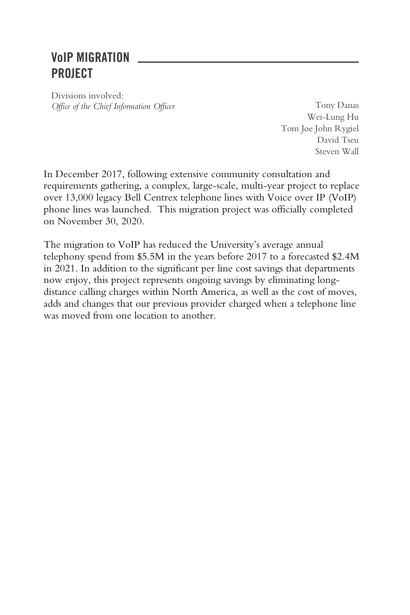## VoIP MIGRATION PROJECT

Divisions involved: *Office of the Chief Information Officer* Tony Danas

Wei-Lung Hu Tom Joe John Rygiel David Tseu Steven Wall

In December 2017, following extensive community consultation and requirements gathering, a complex, large-scale, multi-year project to replace over 13,000 legacy Bell Centrex telephone lines with Voice over IP (VoIP) phone lines was launched. This migration project was officially completed on November 30, 2020.

The migration to VoIP has reduced the University's average annual telephony spend from \$5.5M in the years before 2017 to a forecasted \$2.4M in 2021. In addition to the significant per line cost savings that departments now enjoy, this project represents ongoing savings by eliminating longdistance calling charges within North America, as well as the cost of moves, adds and changes that our previous provider charged when a telephone line was moved from one location to another.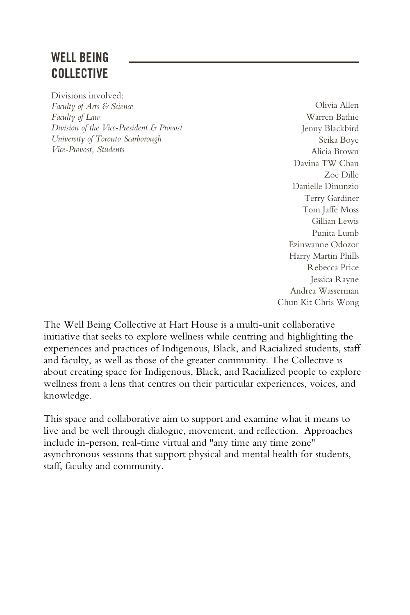## WELL BEING COLLECTIVE

Divisions involved: *Faculty of Arts & Science Faculty of Law Division of the Vice-President & Provost University of Toronto Scarborough Vice-Provost, Students*

Olivia Allen Warren Bathie Jenny Blackbird Seika Boye Alicia Brown Davina TW Chan Zoe Dille Danielle Dinunzio Terry Gardiner Tom Jaffe Moss Gillian Lewis Punita Lumb Ezinwanne Odozor Harry Martin Phills Rebecca Price Jessica Rayne Andrea Wasserman Chun Kit Chris Wong

The Well Being Collective at Hart House is a multi-unit collaborative initiative that seeks to explore wellness while centring and highlighting the experiences and practices of Indigenous, Black, and Racialized students, staff and faculty, as well as those of the greater community. The Collective is about creating space for Indigenous, Black, and Racialized people to explore wellness from a lens that centres on their particular experiences, voices, and knowledge.

This space and collaborative aim to support and examine what it means to live and be well through dialogue, movement, and reflection. Approaches include in-person, real-time virtual and "any time any time zone" asynchronous sessions that support physical and mental health for students, staff, faculty and community.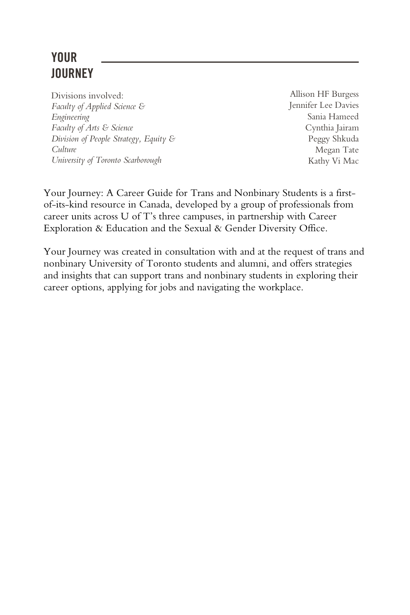## YOUR **JOURNEY**

Divisions involved: *Faculty of Applied Science & Engineering Faculty of Arts & Science Division of People Strategy, Equity & Culture University of Toronto Scarborough*

Allison HF Burgess Jennifer Lee Davies Sania Hameed Cynthia Jairam Peggy Shkuda Megan Tate Kathy Vi Mac

Your Journey: A Career Guide for Trans and Nonbinary Students is a firstof-its-kind resource in Canada, developed by a group of professionals from career units across U of T's three campuses, in partnership with Career Exploration & Education and the Sexual & Gender Diversity Office.

Your Journey was created in consultation with and at the request of trans and nonbinary University of Toronto students and alumni, and offers strategies and insights that can support trans and nonbinary students in exploring their career options, applying for jobs and navigating the workplace.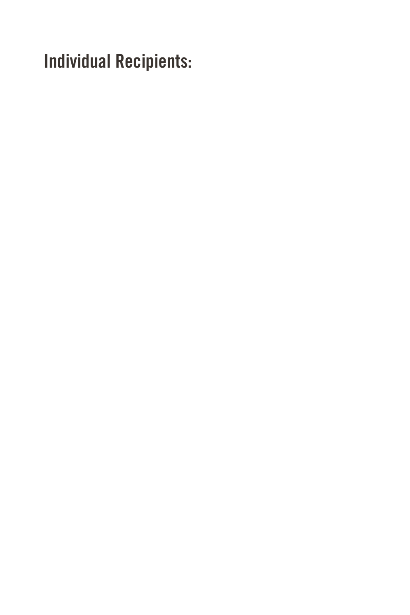Individual Recipients: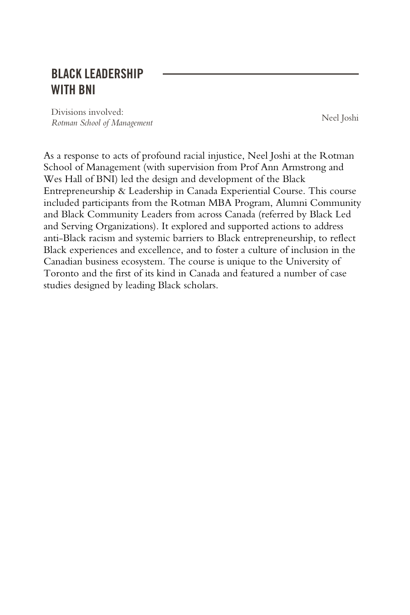#### BLACK LEADERSHIP WITH BNI

Divisions involved: *Rotman School of Management* Neel Joshi

As a response to acts of profound racial injustice, Neel Joshi at the Rotman School of Management (with supervision from Prof Ann Armstrong and Wes Hall of BNI) led the design and development of the Black Entrepreneurship & Leadership in Canada Experiential Course. This course included participants from the Rotman MBA Program, Alumni Community and Black Community Leaders from across Canada (referred by Black Led and Serving Organizations). It explored and supported actions to address anti-Black racism and systemic barriers to Black entrepreneurship, to reflect Black experiences and excellence, and to foster a culture of inclusion in the Canadian business ecosystem. The course is unique to the University of Toronto and the first of its kind in Canada and featured a number of case studies designed by leading Black scholars.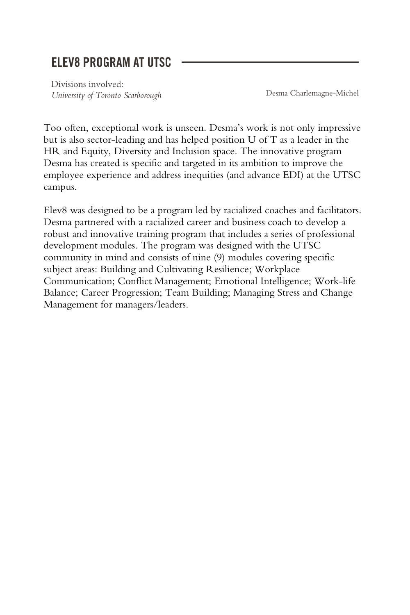#### ELEV8 PROGRAM AT UTSC

Divisions involved: *University of Toronto Scarborough* Desma Charlemagne-Michel

Too often, exceptional work is unseen. Desma's work is not only impressive but is also sector-leading and has helped position U of T as a leader in the HR and Equity, Diversity and Inclusion space. The innovative program Desma has created is specific and targeted in its ambition to improve the employee experience and address inequities (and advance EDI) at the UTSC campus.

Elev8 was designed to be a program led by racialized coaches and facilitators. Desma partnered with a racialized career and business coach to develop a robust and innovative training program that includes a series of professional development modules. The program was designed with the UTSC community in mind and consists of nine (9) modules covering specific subject areas: Building and Cultivating Resilience; Workplace Communication; Conflict Management; Emotional Intelligence; Work-life Balance; Career Progression; Team Building; Managing Stress and Change Management for managers/leaders.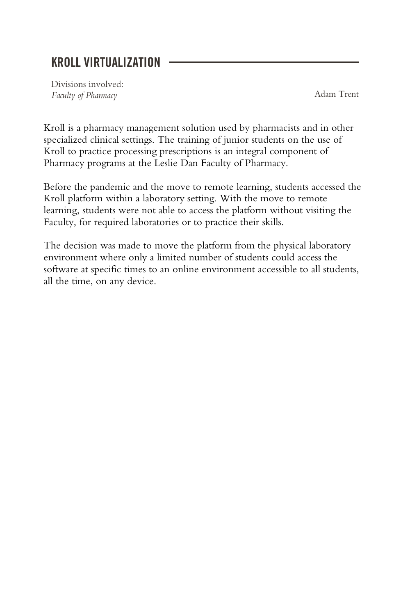#### KROLL VIRTUALIZATION

Divisions involved: *Faculty of Pharmacy* Adam Trent

Kroll is a pharmacy management solution used by pharmacists and in other specialized clinical settings. The training of junior students on the use of Kroll to practice processing prescriptions is an integral component of Pharmacy programs at the Leslie Dan Faculty of Pharmacy.

Before the pandemic and the move to remote learning, students accessed the Kroll platform within a laboratory setting. With the move to remote learning, students were not able to access the platform without visiting the Faculty, for required laboratories or to practice their skills.

The decision was made to move the platform from the physical laboratory environment where only a limited number of students could access the software at specific times to an online environment accessible to all students, all the time, on any device.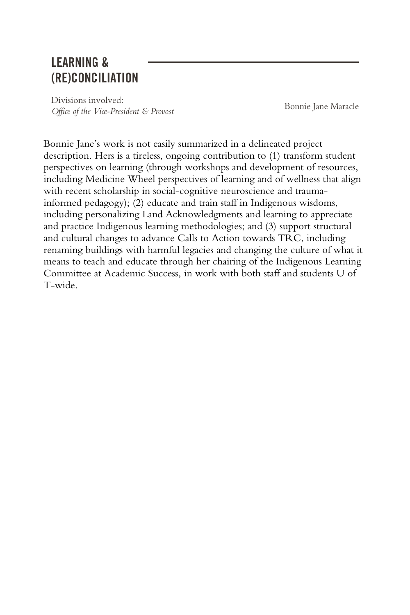#### LEARNING & (RE)CONCILIATION

Divisions involved: *Office of the Vice-President & Provost* Bonnie Jane Maracle

Bonnie Jane's work is not easily summarized in a delineated project description. Hers is a tireless, ongoing contribution to (1) transform student perspectives on learning (through workshops and development of resources, including Medicine Wheel perspectives of learning and of wellness that align with recent scholarship in social-cognitive neuroscience and traumainformed pedagogy); (2) educate and train staff in Indigenous wisdoms, including personalizing Land Acknowledgments and learning to appreciate and practice Indigenous learning methodologies; and (3) support structural and cultural changes to advance Calls to Action towards TRC, including renaming buildings with harmful legacies and changing the culture of what it means to teach and educate through her chairing of the Indigenous Learning Committee at Academic Success, in work with both staff and students U of T-wide.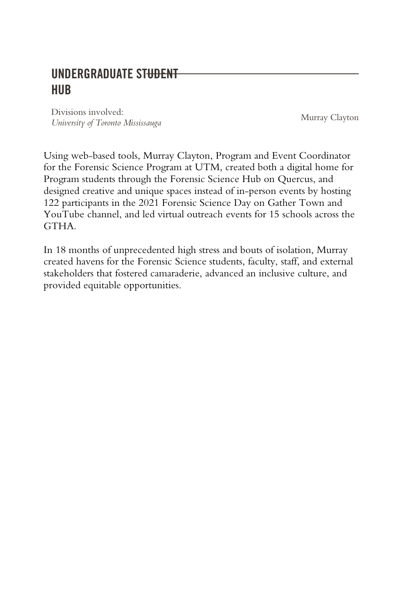## **UNDERGRADUATE ST<del>UDENT</del>** HUB

Divisions involved: *University of Toronto Mississauga* Murray Clayton

Using web-based tools, Murray Clayton, Program and Event Coordinator for the Forensic Science Program at UTM, created both a digital home for Program students through the Forensic Science Hub on Quercus, and designed creative and unique spaces instead of in-person events by hosting 122 participants in the 2021 Forensic Science Day on Gather Town and YouTube channel, and led virtual outreach events for 15 schools across the **GTHA** 

In 18 months of unprecedented high stress and bouts of isolation, Murray created havens for the Forensic Science students, faculty, staff, and external stakeholders that fostered camaraderie, advanced an inclusive culture, and provided equitable opportunities.